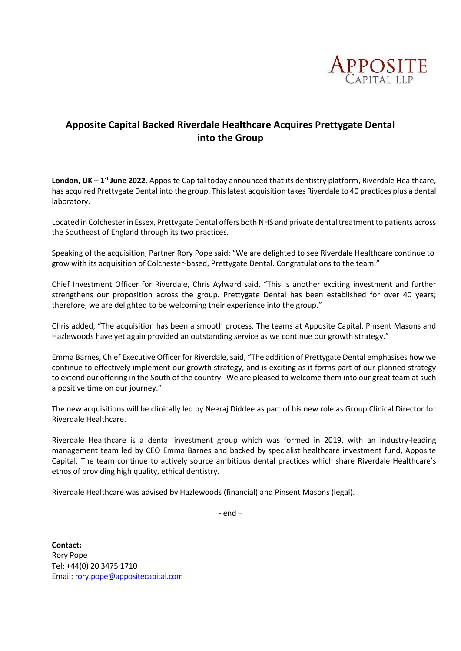

## **Apposite Capital Backed Riverdale Healthcare Acquires Prettygate Dental into the Group**

**London, UK – 1<sup>st</sup> June 2022**. Apposite Capital today announced that its dentistry platform, Riverdale Healthcare, has acquired Prettygate Dental into the group. This latest acquisition takes Riverdale to 40 practices plus a dental laboratory.

Located in Colchester in Essex, Prettygate Dental offers both NHS and private dental treatment to patients across the Southeast of England through its two practices.

Speaking of the acquisition, Partner Rory Pope said: "We are delighted to see Riverdale Healthcare continue to grow with its acquisition of Colchester-based, Prettygate Dental. Congratulations to the team."

Chief Investment Officer for Riverdale, Chris Aylward said, "This is another exciting investment and further strengthens our proposition across the group. Prettygate Dental has been established for over 40 years; therefore, we are delighted to be welcoming their experience into the group."

Chris added, "The acquisition has been a smooth process. The teams at Apposite Capital, Pinsent Masons and Hazlewoods have yet again provided an outstanding service as we continue our growth strategy."

Emma Barnes, Chief Executive Officer for Riverdale, said, "The addition of Prettygate Dental emphasises how we continue to effectively implement our growth strategy, and is exciting as it forms part of our planned strategy to extend our offering in the South of the country. We are pleased to welcome them into our great team at such a positive time on our journey."

The new acquisitions will be clinically led by Neeraj Diddee as part of his new role as Group Clinical Director for Riverdale Healthcare.

Riverdale Healthcare is a dental investment group which was formed in 2019, with an industry-leading management team led by CEO Emma Barnes and backed by specialist healthcare investment fund, Apposite Capital. The team continue to actively source ambitious dental practices which share Riverdale Healthcare's ethos of providing high quality, ethical dentistry.

Riverdale Healthcare was advised by Hazlewoods (financial) and Pinsent Masons (legal).

- end –

**Contact:** Rory Pope Tel: +44(0) 20 3475 1710 Email: [rory.pope@appositecapital.com](mailto:rory.pope@appositecapital.com)